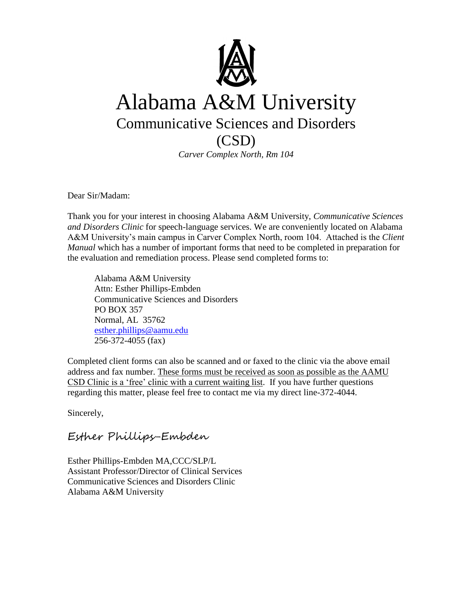

### Alabama A&M University Communicative Sciences and Disorders (CSD)

*Carver Complex North, Rm 104*

Dear Sir/Madam:

Thank you for your interest in choosing Alabama A&M University, *Communicative Sciences and Disorders Clinic* for speech-language services. We are conveniently located on Alabama A&M University's main campus in Carver Complex North, room 104. Attached is the *Client Manual* which has a number of important forms that need to be completed in preparation for the evaluation and remediation process. Please send completed forms to:

Alabama A&M University Attn: Esther Phillips-Embden Communicative Sciences and Disorders PO BOX 357 Normal, AL 35762 [esther.phillips@aamu.edu](mailto:esther.phillips@aamu.edu) 256-372-4055 (fax)

Completed client forms can also be scanned and or faxed to the clinic via the above email address and fax number. These forms must be received as soon as possible as the AAMU CSD Clinic is a 'free' clinic with a current waiting list. If you have further questions regarding this matter, please feel free to contact me via my direct line-372-4044.

Sincerely,

#### Esther Phillips-Embden

Esther Phillips-Embden MA,CCC/SLP/L Assistant Professor/Director of Clinical Services Communicative Sciences and Disorders Clinic Alabama A&M University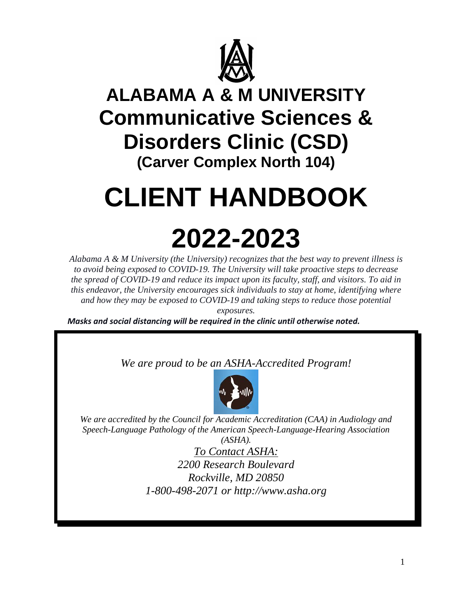

### **ALABAMA A & M UNIVERSITY Communicative Sciences & Disorders Clinic (CSD) (Carver Complex North 104)**

# **CLIENT HANDBOOK**

# **2022-2023**

*Alabama A & M University (the University) recognizes that the best way to prevent illness is to avoid being exposed to COVID-19. The University will take proactive steps to decrease the spread of COVID-19 and reduce its impact upon its faculty, staff, and visitors. To aid in this endeavor, the University encourages sick individuals to stay at home, identifying where and how they may be exposed to COVID-19 and taking steps to reduce those potential exposures.*

*Masks and social distancing will be required in the clinic until otherwise noted.*

*We are proud to be an ASHA-Accredited Program!* 



*We are accredited by the Council for Academic Accreditation (CAA) in Audiology and Speech-Language Pathology of the American Speech-Language-Hearing Association (ASHA).*

*To Contact ASHA: 2200 Research Boulevard Rockville, MD 20850 1-800-498-2071 or http://www.asha.org*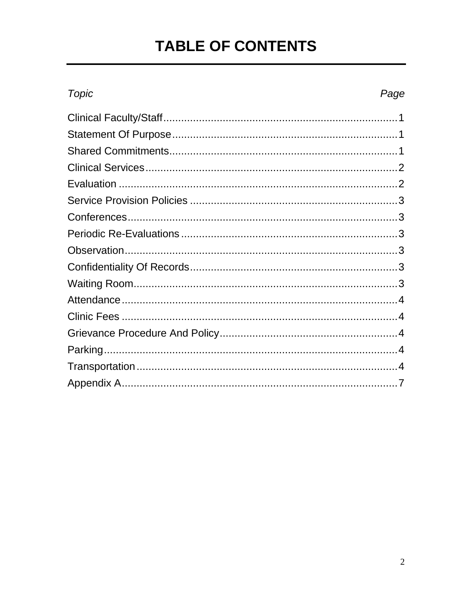### **TABLE OF CONTENTS**

### Topic

#### Page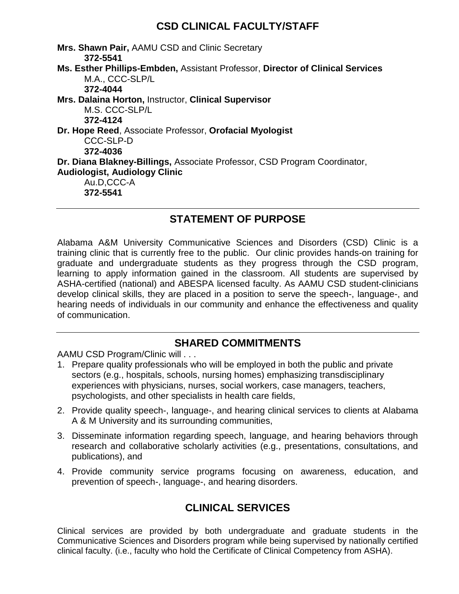#### **CSD CLINICAL FACULTY/STAFF**

**Mrs. Shawn Pair,** AAMU CSD and Clinic Secretary **372-5541 Ms. Esther Phillips-Embden,** Assistant Professor, **Director of Clinical Services** M.A., CCC-SLP/L **372-4044 Mrs. Dalaina Horton,** Instructor, **Clinical Supervisor** M.S. CCC-SLP/L **372-4124 Dr. Hope Reed**, Associate Professor, **Orofacial Myologist** CCC-SLP-D **372-4036 Dr. Diana Blakney-Billings,** Associate Professor, CSD Program Coordinator, **Audiologist, Audiology Clinic** Au.D,CCC-A **372-5541**

#### **STATEMENT OF PURPOSE**

Alabama A&M University Communicative Sciences and Disorders (CSD) Clinic is a training clinic that is currently free to the public. Our clinic provides hands-on training for graduate and undergraduate students as they progress through the CSD program, learning to apply information gained in the classroom. All students are supervised by ASHA-certified (national) and ABESPA licensed faculty. As AAMU CSD student-clinicians develop clinical skills, they are placed in a position to serve the speech-, language-, and hearing needs of individuals in our community and enhance the effectiveness and quality of communication.

#### **SHARED COMMITMENTS**

AAMU CSD Program/Clinic will . . .

- 1. Prepare quality professionals who will be employed in both the public and private sectors (e.g., hospitals, schools, nursing homes) emphasizing transdisciplinary experiences with physicians, nurses, social workers, case managers, teachers, psychologists, and other specialists in health care fields,
- 2. Provide quality speech-, language-, and hearing clinical services to clients at Alabama A & M University and its surrounding communities,
- 3. Disseminate information regarding speech, language, and hearing behaviors through research and collaborative scholarly activities (e.g., presentations, consultations, and publications), and
- 4. Provide community service programs focusing on awareness, education, and prevention of speech-, language-, and hearing disorders.

#### **CLINICAL SERVICES**

Clinical services are provided by both undergraduate and graduate students in the Communicative Sciences and Disorders program while being supervised by nationally certified clinical faculty. (i.e., faculty who hold the Certificate of Clinical Competency from ASHA).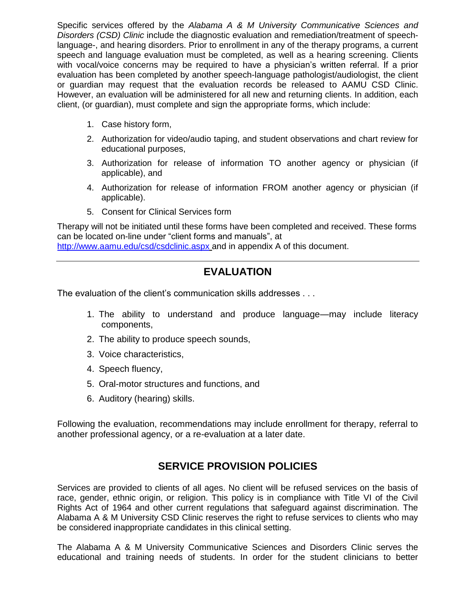Specific services offered by the *Alabama A & M University Communicative Sciences and Disorders (CSD) Clinic* include the diagnostic evaluation and remediation/treatment of speechlanguage-, and hearing disorders. Prior to enrollment in any of the therapy programs, a current speech and language evaluation must be completed, as well as a hearing screening. Clients with vocal/voice concerns may be required to have a physician's written referral. If a prior evaluation has been completed by another speech-language pathologist/audiologist, the client or guardian may request that the evaluation records be released to AAMU CSD Clinic. However, an evaluation will be administered for all new and returning clients. In addition, each client, (or guardian), must complete and sign the appropriate forms, which include:

- 1. Case history form,
- 2. Authorization for video/audio taping, and student observations and chart review for educational purposes,
- 3. Authorization for release of information TO another agency or physician (if applicable), and
- 4. Authorization for release of information FROM another agency or physician (if applicable).
- 5. Consent for Clinical Services form

Therapy will not be initiated until these forms have been completed and received. These forms can be located on-line under "client forms and manuals", at

<http://www.aamu.edu/csd/csdclinic.aspx> and in appendix A of this document.

#### **EVALUATION**

The evaluation of the client's communication skills addresses . . .

- 1. The ability to understand and produce language—may include literacy components,
- 2. The ability to produce speech sounds,
- 3. Voice characteristics,
- 4. Speech fluency,
- 5. Oral-motor structures and functions, and
- 6. Auditory (hearing) skills.

Following the evaluation, recommendations may include enrollment for therapy, referral to another professional agency, or a re-evaluation at a later date.

#### **SERVICE PROVISION POLICIES**

Services are provided to clients of all ages. No client will be refused services on the basis of race, gender, ethnic origin, or religion. This policy is in compliance with Title VI of the Civil Rights Act of 1964 and other current regulations that safeguard against discrimination. The Alabama A & M University CSD Clinic reserves the right to refuse services to clients who may be considered inappropriate candidates in this clinical setting.

The Alabama A & M University Communicative Sciences and Disorders Clinic serves the educational and training needs of students. In order for the student clinicians to better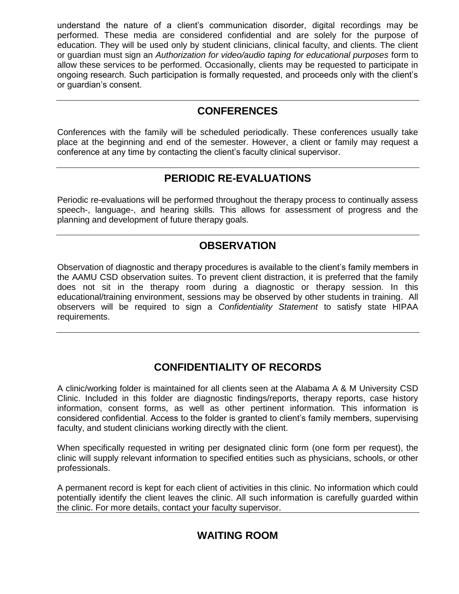understand the nature of a client's communication disorder, digital recordings may be performed. These media are considered confidential and are solely for the purpose of education. They will be used only by student clinicians, clinical faculty, and clients. The client or guardian must sign an *Authorization for video/audio taping for educational purposes* form to allow these services to be performed. Occasionally, clients may be requested to participate in ongoing research. Such participation is formally requested, and proceeds only with the client's or guardian's consent.

#### **CONFERENCES**

Conferences with the family will be scheduled periodically. These conferences usually take place at the beginning and end of the semester. However, a client or family may request a conference at any time by contacting the client's faculty clinical supervisor.

#### **PERIODIC RE-EVALUATIONS**

Periodic re-evaluations will be performed throughout the therapy process to continually assess speech-, language-, and hearing skills. This allows for assessment of progress and the planning and development of future therapy goals.

#### **OBSERVATION**

Observation of diagnostic and therapy procedures is available to the client's family members in the AAMU CSD observation suites. To prevent client distraction, it is preferred that the family does not sit in the therapy room during a diagnostic or therapy session. In this educational/training environment, sessions may be observed by other students in training. All observers will be required to sign a *Confidentiality Statement* to satisfy state HIPAA requirements.

#### **CONFIDENTIALITY OF RECORDS**

A clinic/working folder is maintained for all clients seen at the Alabama A & M University CSD Clinic. Included in this folder are diagnostic findings/reports, therapy reports, case history information, consent forms, as well as other pertinent information. This information is considered confidential. Access to the folder is granted to client's family members, supervising faculty, and student clinicians working directly with the client.

When specifically requested in writing per designated clinic form (one form per request), the clinic will supply relevant information to specified entities such as physicians, schools, or other professionals.

A permanent record is kept for each client of activities in this clinic. No information which could potentially identify the client leaves the clinic. All such information is carefully guarded within the clinic. For more details, contact your faculty supervisor.

#### **WAITING ROOM**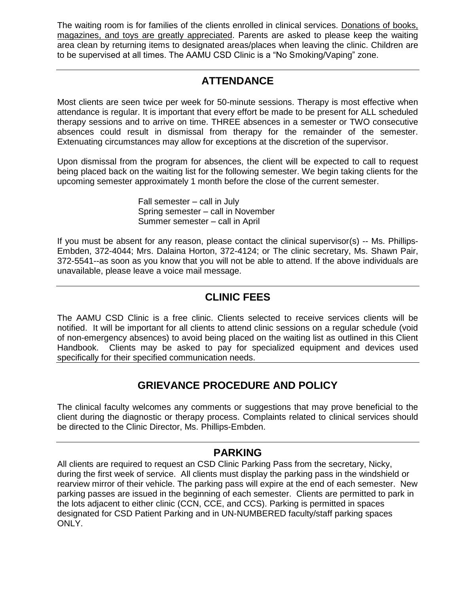The waiting room is for families of the clients enrolled in clinical services. Donations of books, magazines, and toys are greatly appreciated. Parents are asked to please keep the waiting area clean by returning items to designated areas/places when leaving the clinic. Children are to be supervised at all times. The AAMU CSD Clinic is a "No Smoking/Vaping" zone.

#### **ATTENDANCE**

Most clients are seen twice per week for 50-minute sessions. Therapy is most effective when attendance is regular. It is important that every effort be made to be present for ALL scheduled therapy sessions and to arrive on time. THREE absences in a semester or TWO consecutive absences could result in dismissal from therapy for the remainder of the semester. Extenuating circumstances may allow for exceptions at the discretion of the supervisor.

Upon dismissal from the program for absences, the client will be expected to call to request being placed back on the waiting list for the following semester. We begin taking clients for the upcoming semester approximately 1 month before the close of the current semester.

> Fall semester – call in July Spring semester – call in November Summer semester – call in April

If you must be absent for any reason, please contact the clinical supervisor(s) -- Ms. Phillips-Embden, 372-4044; Mrs. Dalaina Horton, 372-4124; or The clinic secretary, Ms. Shawn Pair, 372-5541--as soon as you know that you will not be able to attend. If the above individuals are unavailable, please leave a voice mail message.

#### **CLINIC FEES**

The AAMU CSD Clinic is a free clinic. Clients selected to receive services clients will be notified. It will be important for all clients to attend clinic sessions on a regular schedule (void of non-emergency absences) to avoid being placed on the waiting list as outlined in this Client Handbook. Clients may be asked to pay for specialized equipment and devices used specifically for their specified communication needs.

#### **GRIEVANCE PROCEDURE AND POLICY**

The clinical faculty welcomes any comments or suggestions that may prove beneficial to the client during the diagnostic or therapy process. Complaints related to clinical services should be directed to the Clinic Director, Ms. Phillips-Embden.

#### **PARKING**

All clients are required to request an CSD Clinic Parking Pass from the secretary, Nicky, during the first week of service. All clients must display the parking pass in the windshield or rearview mirror of their vehicle. The parking pass will expire at the end of each semester. New parking passes are issued in the beginning of each semester. Clients are permitted to park in the lots adjacent to either clinic (CCN, CCE, and CCS). Parking is permitted in spaces designated for CSD Patient Parking and in UN-NUMBERED faculty/staff parking spaces ONLY.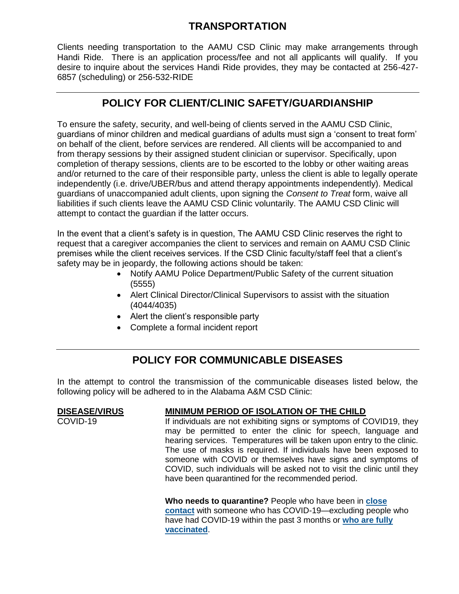#### **TRANSPORTATION**

Clients needing transportation to the AAMU CSD Clinic may make arrangements through Handi Ride. There is an application process/fee and not all applicants will qualify. If you desire to inquire about the services Handi Ride provides, they may be contacted at 256-427- 6857 (scheduling) or 256-532-RIDE

#### **POLICY FOR CLIENT/CLINIC SAFETY/GUARDIANSHIP**

To ensure the safety, security, and well-being of clients served in the AAMU CSD Clinic, guardians of minor children and medical guardians of adults must sign a 'consent to treat form' on behalf of the client, before services are rendered. All clients will be accompanied to and from therapy sessions by their assigned student clinician or supervisor. Specifically, upon completion of therapy sessions, clients are to be escorted to the lobby or other waiting areas and/or returned to the care of their responsible party, unless the client is able to legally operate independently (i.e. drive/UBER/bus and attend therapy appointments independently). Medical guardians of unaccompanied adult clients, upon signing the *Consent to Treat* form, waive all liabilities if such clients leave the AAMU CSD Clinic voluntarily. The AAMU CSD Clinic will attempt to contact the guardian if the latter occurs.

In the event that a client's safety is in question, The AAMU CSD Clinic reserves the right to request that a caregiver accompanies the client to services and remain on AAMU CSD Clinic premises while the client receives services. If the CSD Clinic faculty/staff feel that a client's safety may be in jeopardy, the following actions should be taken:

- Notify AAMU Police Department/Public Safety of the current situation (5555)
- Alert Clinical Director/Clinical Supervisors to assist with the situation (4044/4035)
- Alert the client's responsible party
- Complete a formal incident report

#### **POLICY FOR COMMUNICABLE DISEASES**

In the attempt to control the transmission of the communicable diseases listed below, the following policy will be adhered to in the Alabama A&M CSD Clinic:

#### **DISEASE/VIRUS MINIMUM PERIOD OF ISOLATION OF THE CHILD**

COVID-19 **If individuals are not exhibiting signs or symptoms of COVID19, they** may be permitted to enter the clinic for speech, language and hearing services. Temperatures will be taken upon entry to the clinic. The use of masks is required. If individuals have been exposed to someone with COVID or themselves have signs and symptoms of COVID, such individuals will be asked not to visit the clinic until they have been quarantined for the recommended period.

> **Who needs to quarantine?** People who have been in **[close](https://www.cdc.gov/coronavirus/2019-ncov/php/contact-tracing/contact-tracing-plan/appendix.html#contact)  [contact](https://www.cdc.gov/coronavirus/2019-ncov/php/contact-tracing/contact-tracing-plan/appendix.html#contact)** with someone who has COVID-19—excluding people who have had COVID-19 within the past 3 months or **[who are fully](https://www.cdc.gov/coronavirus/2019-ncov/vaccines/fully-vaccinated.html)  [vaccinated](https://www.cdc.gov/coronavirus/2019-ncov/vaccines/fully-vaccinated.html)**.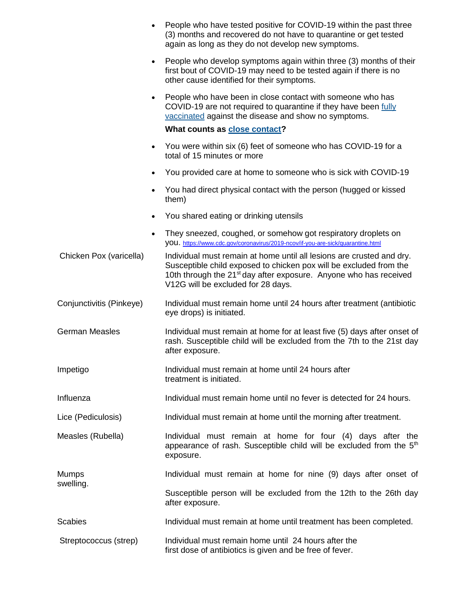|                          |           | People who have tested positive for COVID-19 within the past three<br>(3) months and recovered do not have to quarantine or get tested<br>again as long as they do not develop new symptoms.                                                                       |
|--------------------------|-----------|--------------------------------------------------------------------------------------------------------------------------------------------------------------------------------------------------------------------------------------------------------------------|
|                          |           | People who develop symptoms again within three (3) months of their<br>first bout of COVID-19 may need to be tested again if there is no<br>other cause identified for their symptoms.                                                                              |
|                          |           | People who have been in close contact with someone who has<br>COVID-19 are not required to quarantine if they have been fully<br>vaccinated against the disease and show no symptoms.                                                                              |
|                          |           | What counts as <b>close contact?</b>                                                                                                                                                                                                                               |
|                          |           | You were within six (6) feet of someone who has COVID-19 for a<br>total of 15 minutes or more                                                                                                                                                                      |
|                          |           | You provided care at home to someone who is sick with COVID-19                                                                                                                                                                                                     |
|                          |           | You had direct physical contact with the person (hugged or kissed<br>them)                                                                                                                                                                                         |
|                          |           | You shared eating or drinking utensils                                                                                                                                                                                                                             |
|                          | $\bullet$ | They sneezed, coughed, or somehow got respiratory droplets on<br>VOU. https://www.cdc.gov/coronavirus/2019-ncov/if-you-are-sick/quarantine.html                                                                                                                    |
| Chicken Pox (varicella)  |           | Individual must remain at home until all lesions are crusted and dry.<br>Susceptible child exposed to chicken pox will be excluded from the<br>10th through the 21 <sup>st</sup> day after exposure. Anyone who has received<br>V12G will be excluded for 28 days. |
| Conjunctivitis (Pinkeye) |           | Individual must remain home until 24 hours after treatment (antibiotic<br>eye drops) is initiated.                                                                                                                                                                 |
| <b>German Measles</b>    |           | Individual must remain at home for at least five (5) days after onset of<br>rash. Susceptible child will be excluded from the 7th to the 21st day<br>after exposure.                                                                                               |
| Impetigo                 |           | Individual must remain at home until 24 hours after<br>treatment is initiated.                                                                                                                                                                                     |
| Influenza                |           | Individual must remain home until no fever is detected for 24 hours.                                                                                                                                                                                               |
| Lice (Pediculosis)       |           | Individual must remain at home until the morning after treatment.                                                                                                                                                                                                  |
| Measles (Rubella)        |           | Individual must remain at home for four (4) days after the<br>appearance of rash. Susceptible child will be excluded from the 5 <sup>th</sup><br>exposure.                                                                                                         |
| <b>Mumps</b>             |           | Individual must remain at home for nine (9) days after onset of                                                                                                                                                                                                    |
| swelling.                |           | Susceptible person will be excluded from the 12th to the 26th day<br>after exposure.                                                                                                                                                                               |
| <b>Scabies</b>           |           | Individual must remain at home until treatment has been completed.                                                                                                                                                                                                 |
| Streptococcus (strep)    |           | Individual must remain home until 24 hours after the<br>first dose of antibiotics is given and be free of fever.                                                                                                                                                   |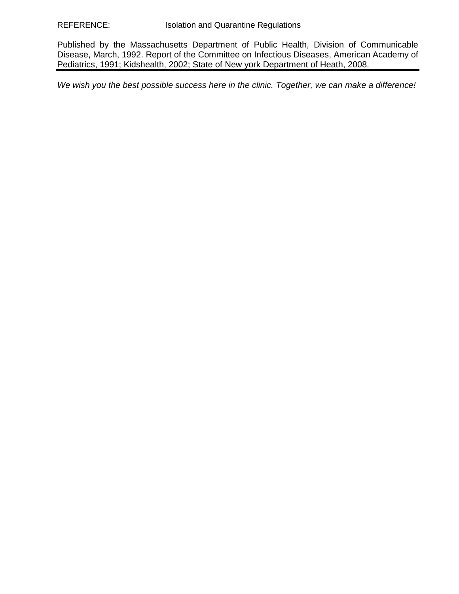Published by the Massachusetts Department of Public Health, Division of Communicable Disease, March, 1992. Report of the Committee on Infectious Diseases, American Academy of Pediatrics, 1991; Kidshealth, 2002; State of New york Department of Heath, 2008.

*We wish you the best possible success here in the clinic. Together, we can make a difference!*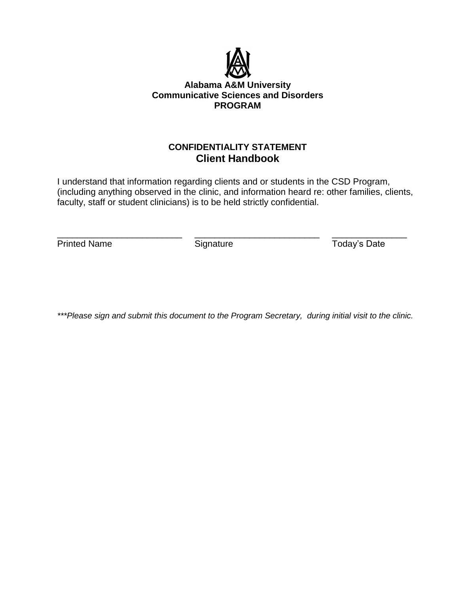

#### **Alabama A&M University Communicative Sciences and Disorders PROGRAM**

#### **CONFIDENTIALITY STATEMENT Client Handbook**

I understand that information regarding clients and or students in the CSD Program, (including anything observed in the clinic, and information heard re: other families, clients, faculty, staff or student clinicians) is to be held strictly confidential.

\_\_\_\_\_\_\_\_\_\_\_\_\_\_\_\_\_\_\_\_\_\_\_\_\_ \_\_\_\_\_\_\_\_\_\_\_\_\_\_\_\_\_\_\_\_\_\_\_\_\_ \_\_\_\_\_\_\_\_\_\_\_\_\_\_\_ Printed Name Signature Signature Today's Date

*\*\*\*Please sign and submit this document to the Program Secretary, during initial visit to the clinic.*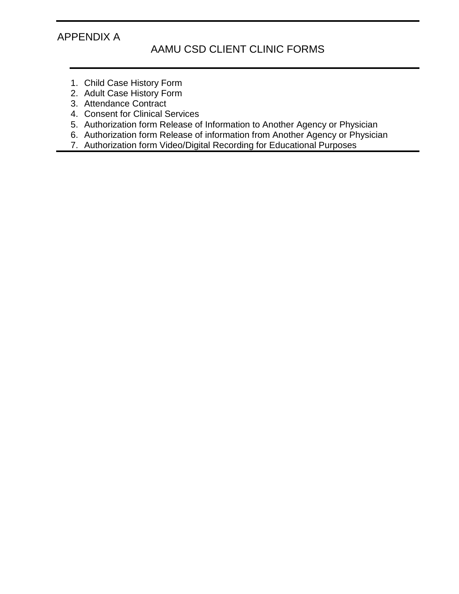#### APPENDIX A

#### AAMU CSD CLIENT CLINIC FORMS

- 1. Child Case History Form
- 2. Adult Case History Form
- 3. Attendance Contract
- 4. Consent for Clinical Services
- 5. Authorization form Release of Information to Another Agency or Physician
- 6. Authorization form Release of information from Another Agency or Physician
- 7. Authorization form Video/Digital Recording for Educational Purposes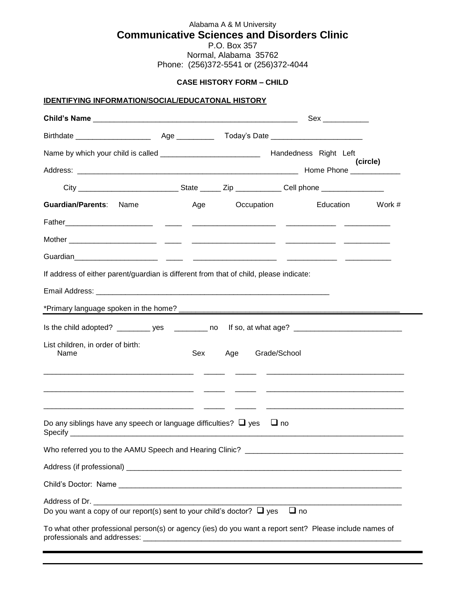#### Alabama A & M University **Communicative Sciences and Disorders Clinic**

P.O. Box 357 Normal, Alabama 35762 Phone: (256)372-5541 or (256)372-4044

#### **CASE HISTORY FORM – CHILD**

#### **IDENTIFYING INFORMATION/SOCIAL/EDUCATONAL HISTORY**

|                                                                                                         |     |                  | Sex ___________ |        |
|---------------------------------------------------------------------------------------------------------|-----|------------------|-----------------|--------|
|                                                                                                         |     |                  |                 |        |
|                                                                                                         |     |                  |                 |        |
|                                                                                                         |     |                  | (circle)        |        |
|                                                                                                         |     |                  |                 |        |
| Guardian/Parents: Name                                                                                  | Age | Occupation       | Education       | Work # |
|                                                                                                         |     |                  |                 |        |
|                                                                                                         |     |                  |                 |        |
|                                                                                                         |     |                  |                 |        |
| If address of either parent/guardian is different from that of child, please indicate:                  |     |                  |                 |        |
|                                                                                                         |     |                  |                 |        |
|                                                                                                         |     |                  |                 |        |
| Is the child adopted? ___________ yes ____________ no lf so, at what age? __________________________    |     |                  |                 |        |
| List children, in order of birth:<br>Name                                                               | Sex | Age Grade/School |                 |        |
| <u> 1980 - Jan Barbara Barat, martin da shekara 1980 - Andrew Start Barbara (h. 1980).</u>              |     |                  |                 |        |
| Do any siblings have any speech or language difficulties? $\Box$ yes $\Box$ no                          |     |                  |                 |        |
|                                                                                                         |     |                  |                 |        |
|                                                                                                         |     |                  |                 |        |
|                                                                                                         |     |                  |                 |        |
| Do you want a copy of our report(s) sent to your child's doctor? $\Box$ yes $\Box$ no                   |     |                  |                 |        |
| To what other professional person(s) or agency (ies) do you want a report sent? Please include names of |     |                  |                 |        |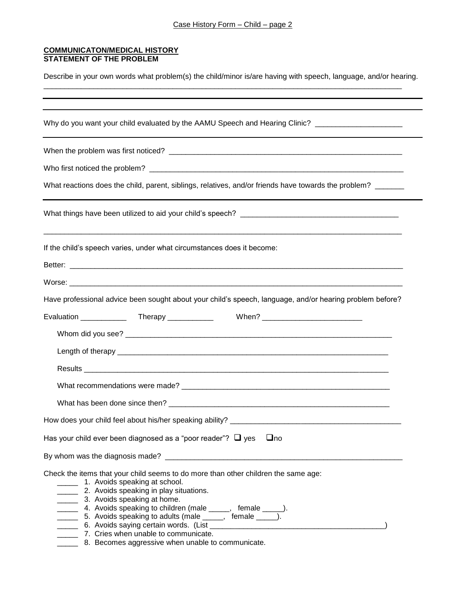#### **COMMUNICATON/MEDICAL HISTORY STATEMENT OF THE PROBLEM**

Describe in your own words what problem(s) the child/minor is/are having with speech, language, and/or hearing.

\_\_\_\_\_\_\_\_\_\_\_\_\_\_\_\_\_\_\_\_\_\_\_\_\_\_\_\_\_\_\_\_\_\_\_\_\_\_\_\_\_\_\_\_\_\_\_\_\_\_\_\_\_\_\_\_\_\_\_\_\_\_\_\_\_\_\_\_\_\_\_\_\_\_\_\_\_\_\_\_\_\_\_\_\_\_

| Why do you want your child evaluated by the AAMU Speech and Hearing Clinic? _______________________                                                                                                                                                                                                                                                                                                                                                                                                   |
|-------------------------------------------------------------------------------------------------------------------------------------------------------------------------------------------------------------------------------------------------------------------------------------------------------------------------------------------------------------------------------------------------------------------------------------------------------------------------------------------------------|
|                                                                                                                                                                                                                                                                                                                                                                                                                                                                                                       |
|                                                                                                                                                                                                                                                                                                                                                                                                                                                                                                       |
| What reactions does the child, parent, siblings, relatives, and/or friends have towards the problem?                                                                                                                                                                                                                                                                                                                                                                                                  |
|                                                                                                                                                                                                                                                                                                                                                                                                                                                                                                       |
| If the child's speech varies, under what circumstances does it become:                                                                                                                                                                                                                                                                                                                                                                                                                                |
|                                                                                                                                                                                                                                                                                                                                                                                                                                                                                                       |
|                                                                                                                                                                                                                                                                                                                                                                                                                                                                                                       |
| Have professional advice been sought about your child's speech, language, and/or hearing problem before?                                                                                                                                                                                                                                                                                                                                                                                              |
| Evaluation _______________ Therapy _____________  When? ________________________                                                                                                                                                                                                                                                                                                                                                                                                                      |
|                                                                                                                                                                                                                                                                                                                                                                                                                                                                                                       |
|                                                                                                                                                                                                                                                                                                                                                                                                                                                                                                       |
|                                                                                                                                                                                                                                                                                                                                                                                                                                                                                                       |
|                                                                                                                                                                                                                                                                                                                                                                                                                                                                                                       |
|                                                                                                                                                                                                                                                                                                                                                                                                                                                                                                       |
|                                                                                                                                                                                                                                                                                                                                                                                                                                                                                                       |
| Has your child ever been diagnosed as a "poor reader"? $\Box$ yes $\Box$ no                                                                                                                                                                                                                                                                                                                                                                                                                           |
|                                                                                                                                                                                                                                                                                                                                                                                                                                                                                                       |
| Check the items that your child seems to do more than other children the same age:<br>1. Avoids speaking at school.<br>2. Avoids speaking in play situations.<br>3. Avoids speaking at home.<br>4. Avoids speaking to children (male _____, female ____).<br>5. Avoids speaking to adults (male _____, female ____).<br>_______ 6. Avoids saying certain words. (List __________________________<br>7. Cries when unable to communicate.<br>_______ 8. Becomes aggressive when unable to communicate. |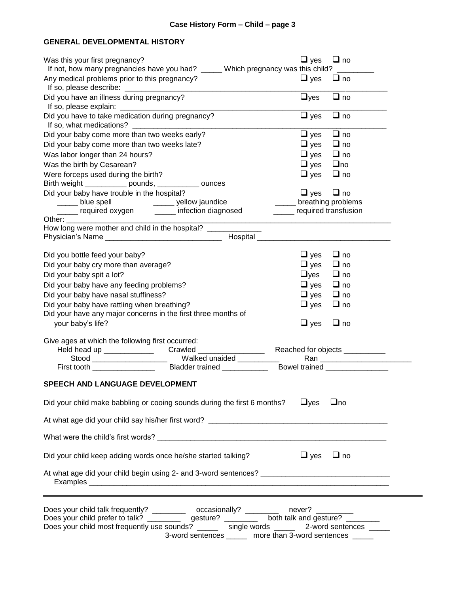#### **GENERAL DEVELOPMENTAL HISTORY**

| Was this your first pregnancy?                                                                                                                                                                                                                                                              | $\Box$ yes                  | $\Box$ no                       |
|---------------------------------------------------------------------------------------------------------------------------------------------------------------------------------------------------------------------------------------------------------------------------------------------|-----------------------------|---------------------------------|
| If not, how many pregnancies have you had? _____ Which pregnancy was this child? ___                                                                                                                                                                                                        |                             |                                 |
| Any medical problems prior to this pregnancy?                                                                                                                                                                                                                                               | $\Box$ yes                  | $\Box$ no                       |
| Did you have an illness during pregnancy?                                                                                                                                                                                                                                                   | $\Box$ yes                  | $\Box$ no                       |
| Did you have to take medication during pregnancy?<br>If so, what medications?                                                                                                                                                                                                               | $\Box$ yes                  | $\Box$ no                       |
| Did your baby come more than two weeks early?                                                                                                                                                                                                                                               | $\Box$ yes                  | $\Box$ no                       |
| Did your baby come more than two weeks late?                                                                                                                                                                                                                                                | $\Box$ yes                  | $\Box$ no                       |
| Was labor longer than 24 hours?                                                                                                                                                                                                                                                             | $\Box$ yes                  | $\Box$ no                       |
| Was the birth by Cesarean?                                                                                                                                                                                                                                                                  | $\Box$ yes                  | □no                             |
| Were forceps used during the birth?                                                                                                                                                                                                                                                         | $\Box$ yes                  | □ no                            |
| Birth weight ___________ pounds, __________ ounces                                                                                                                                                                                                                                          |                             |                                 |
| Did your baby have trouble in the hospital?                                                                                                                                                                                                                                                 | $\Box$ yes                  | □ no                            |
| ______ yellow jaundice<br>_____ blue spell<br>______ required oxygen _______ infection diagnosed                                                                                                                                                                                            | ______ required transfusion | breathing problems              |
| Other: __________________                                                                                                                                                                                                                                                                   |                             |                                 |
| How long were mother and child in the hospital?                                                                                                                                                                                                                                             |                             |                                 |
| Hospital <b>Executive Contract Contract Contract Contract Contract Contract Contract Contract Contract Contract Contract Contract Contract Contract Contract Contract Contract Contract Contract Contract Contract Contract Cont</b><br>Physician's Name __________________________________ |                             |                                 |
|                                                                                                                                                                                                                                                                                             |                             |                                 |
| Did you bottle feed your baby?                                                                                                                                                                                                                                                              | $\sqcup$ yes<br>$\Box$ yes  | $\sqcup$ no<br>⊟ no             |
| Did your baby cry more than average?                                                                                                                                                                                                                                                        | $\Box$ yes                  | $\Box$ no                       |
| Did your baby spit a lot?                                                                                                                                                                                                                                                                   |                             |                                 |
| Did your baby have any feeding problems?                                                                                                                                                                                                                                                    | $\Box$ yes                  | ⊟ no                            |
| Did your baby have nasal stuffiness?                                                                                                                                                                                                                                                        | $\Box$ yes                  | ⊟ no                            |
| Did your baby have rattling when breathing?                                                                                                                                                                                                                                                 | $\Box$ yes                  | $\Box$ no                       |
| Did your have any major concerns in the first three months of<br>your baby's life?                                                                                                                                                                                                          |                             | $\Box$ no                       |
|                                                                                                                                                                                                                                                                                             | $\Box$ yes                  |                                 |
| Give ages at which the following first occurred:                                                                                                                                                                                                                                            |                             |                                 |
|                                                                                                                                                                                                                                                                                             |                             | Reached for objects ___________ |
|                                                                                                                                                                                                                                                                                             |                             |                                 |
|                                                                                                                                                                                                                                                                                             |                             | Bowel trained ________________  |
| <b>SPEECH AND LANGUAGE DEVELOPMENT</b>                                                                                                                                                                                                                                                      |                             |                                 |
| Did your child make babbling or cooing sounds during the first 6 months?                                                                                                                                                                                                                    | $\Box$ yes                  | $\Box$ no                       |
|                                                                                                                                                                                                                                                                                             |                             |                                 |
|                                                                                                                                                                                                                                                                                             |                             |                                 |
| Did your child keep adding words once he/she started talking?                                                                                                                                                                                                                               | $\Box$ yes                  | $\Box$ no                       |
|                                                                                                                                                                                                                                                                                             |                             |                                 |
| Does your child talk frequently? ___________ occasionally? _________ never? _________                                                                                                                                                                                                       |                             |                                 |
| Does your child prefer to talk? ____________ gesture? ___________ both talk and gesture? _________                                                                                                                                                                                          |                             |                                 |
| Does your child most frequently use sounds? _____ single words _____ 2-word sentences ____                                                                                                                                                                                                  |                             |                                 |
| 3-word sentences ______ more than 3-word sentences _____                                                                                                                                                                                                                                    |                             |                                 |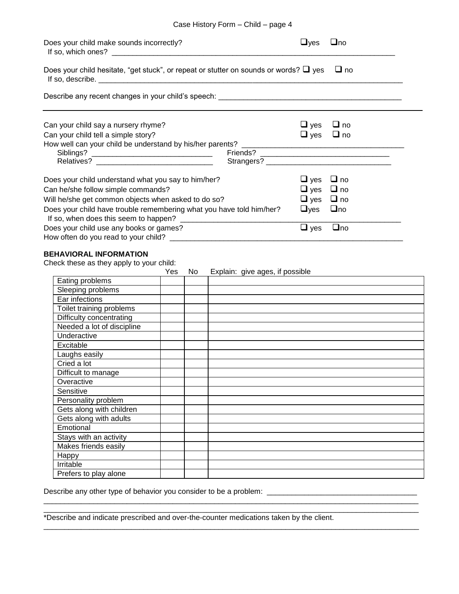| Case History Form - Child - page 4 |
|------------------------------------|
|------------------------------------|

| Does your child make sounds incorrectly?<br>If so, which ones? $\sqrt{2}$ [150] $\sqrt{2}$ [150] $\sqrt{2}$ [150] $\sqrt{2}$ [150] $\sqrt{2}$ [150] $\sqrt{2}$ [150] $\sqrt{2}$ [150] $\sqrt{2}$ [150] $\sqrt{2}$ [150] $\sqrt{2}$ [150] $\sqrt{2}$ [150] $\sqrt{2}$ [150] $\sqrt{2}$ [150] $\sqrt{2}$ [150] $\sqrt{2}$ | $\sqcup$ <sub>Ves</sub> | $\Box$ no |
|-------------------------------------------------------------------------------------------------------------------------------------------------------------------------------------------------------------------------------------------------------------------------------------------------------------------------|-------------------------|-----------|
| Does your child hesitate, "get stuck", or repeat or stutter on sounds or words? $\Box$ yes                                                                                                                                                                                                                              |                         | $\Box$ no |
|                                                                                                                                                                                                                                                                                                                         |                         |           |
| Can your child say a nursery rhyme?                                                                                                                                                                                                                                                                                     | $\Box$ yes              | $\Box$ no |
| Can your child tell a simple story?                                                                                                                                                                                                                                                                                     | $\Box$ yes $\Box$ no    |           |
|                                                                                                                                                                                                                                                                                                                         |                         |           |
|                                                                                                                                                                                                                                                                                                                         |                         |           |
|                                                                                                                                                                                                                                                                                                                         |                         |           |
| Does your child understand what you say to him/her?                                                                                                                                                                                                                                                                     | $\Box$ yes              | $\Box$ no |
| Can he/she follow simple commands?                                                                                                                                                                                                                                                                                      | $\Box$ yes $\Box$ no    |           |
| Will he/she get common objects when asked to do so?                                                                                                                                                                                                                                                                     | $\Box$ yes $\Box$ no    |           |
| Does your child have trouble remembering what you have told him/her?                                                                                                                                                                                                                                                    | $\Box$ yes $\Box$ no    |           |
| Does your child use any books or games?                                                                                                                                                                                                                                                                                 | $\Box$ yes              | $\Box$ no |
|                                                                                                                                                                                                                                                                                                                         |                         |           |
| <b>BEHAVIORAL INFORMATION</b>                                                                                                                                                                                                                                                                                           |                         |           |
| Check these as they apply to your child:                                                                                                                                                                                                                                                                                |                         |           |
| No.<br>Explain: give ages, if possible<br><b>Yes</b><br>المستحدث والمالدين ويستند والتنافذ التناول                                                                                                                                                                                                                      |                         |           |

|                            | . . | $L$ , piani. givo agoo, il possibio |
|----------------------------|-----|-------------------------------------|
| Eating problems            |     |                                     |
| Sleeping problems          |     |                                     |
| Ear infections             |     |                                     |
| Toilet training problems   |     |                                     |
| Difficulty concentrating   |     |                                     |
| Needed a lot of discipline |     |                                     |
| Underactive                |     |                                     |
| Excitable                  |     |                                     |
| Laughs easily              |     |                                     |
| Cried a lot                |     |                                     |
| Difficult to manage        |     |                                     |
| Overactive                 |     |                                     |
| Sensitive                  |     |                                     |
| Personality problem        |     |                                     |
| Gets along with children   |     |                                     |
| Gets along with adults     |     |                                     |
| Emotional                  |     |                                     |
| Stays with an activity     |     |                                     |
| Makes friends easily       |     |                                     |
| <b>Happy</b>               |     |                                     |
| Irritable                  |     |                                     |
| Prefers to play alone      |     |                                     |

\_\_\_\_\_\_\_\_\_\_\_\_\_\_\_\_\_\_\_\_\_\_\_\_\_\_\_\_\_\_\_\_\_\_\_\_\_\_\_\_\_\_\_\_\_\_\_\_\_\_\_\_\_\_\_\_\_\_\_\_\_\_\_\_\_\_\_\_\_\_\_\_\_\_\_\_\_\_\_\_\_\_\_\_\_\_\_\_\_\_ \_\_\_\_\_\_\_\_\_\_\_\_\_\_\_\_\_\_\_\_\_\_\_\_\_\_\_\_\_\_\_\_\_\_\_\_\_\_\_\_\_\_\_\_\_\_\_\_\_\_\_\_\_\_\_\_\_\_\_\_\_\_\_\_\_\_\_\_\_\_\_\_\_\_\_\_\_\_\_\_\_\_\_\_\_\_\_\_\_\_

\_\_\_\_\_\_\_\_\_\_\_\_\_\_\_\_\_\_\_\_\_\_\_\_\_\_\_\_\_\_\_\_\_\_\_\_\_\_\_\_\_\_\_\_\_\_\_\_\_\_\_\_\_\_\_\_\_\_\_\_\_\_\_\_\_\_\_\_\_\_\_\_\_\_\_\_\_\_\_\_\_\_\_\_\_\_\_\_\_\_

Describe any other type of behavior you consider to be a problem: \_\_\_\_\_\_\_\_\_\_\_\_\_\_\_\_\_\_\_\_\_\_\_\_\_\_\_\_\_\_\_\_\_\_\_\_

\*Describe and indicate prescribed and over-the-counter medications taken by the client.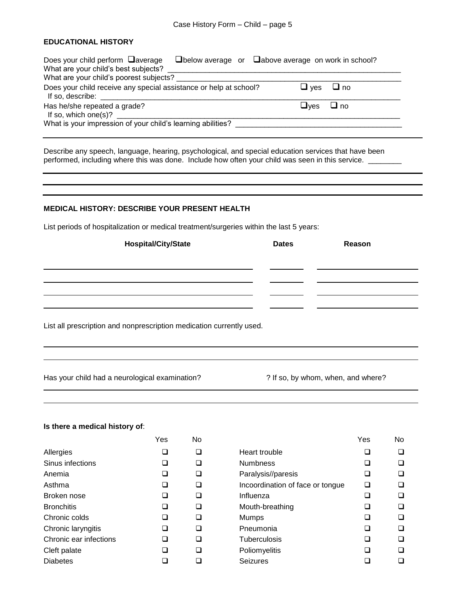#### **EDUCATIONAL HISTORY**

| Does your child perform average<br>What are your child's best subjects?                                                                                                                                                                                                                            | $\Box$ below average or $\Box$ above average on work in school? |      |
|----------------------------------------------------------------------------------------------------------------------------------------------------------------------------------------------------------------------------------------------------------------------------------------------------|-----------------------------------------------------------------|------|
| What are your child's poorest subjects?                                                                                                                                                                                                                                                            |                                                                 |      |
| Does your child receive any special assistance or help at school?<br>If so, describe: the contract of the contract of the contract of the contract of the contract of the contract of the contract of the contract of the contract of the contract of the contract of the contract of the contract | $\sqcup$ ves                                                    | ⊟ no |
| Has he/she repeated a grade?                                                                                                                                                                                                                                                                       | $\sqcup$ ves                                                    | ⊟ no |
| What is your impression of your child's learning abilities?                                                                                                                                                                                                                                        |                                                                 |      |

Describe any speech, language, hearing, psychological, and special education services that have been performed, including where this was done. Include how often your child was seen in this service. \_\_\_\_\_\_\_\_\_

#### **MEDICAL HISTORY: DESCRIBE YOUR PRESENT HEALTH**

List periods of hospitalization or medical treatment/surgeries within the last 5 years:

| <b>Hospital/City/State</b>                                           | <b>Dates</b> | Reason                             |
|----------------------------------------------------------------------|--------------|------------------------------------|
|                                                                      |              |                                    |
|                                                                      |              |                                    |
|                                                                      |              |                                    |
|                                                                      |              |                                    |
| List all prescription and nonprescription medication currently used. |              |                                    |
|                                                                      |              |                                    |
|                                                                      |              |                                    |
| Has your child had a neurological examination?                       |              | ? If so, by whom, when, and where? |

#### **Is there a medical history of**:

|                        | Yes | N٥ |
|------------------------|-----|----|
| Allergies              | ப   | U  |
| Sinus infections       | ப   | □  |
| Anemia                 | ⊔   | □  |
| Asthma                 | ப   | J  |
| Broken nose            | ப   | J. |
| <b>Bronchitis</b>      | ப   | □  |
| Chronic colds          | L I | □  |
| Chronic laryngitis     | ப   | U  |
| Chronic ear infections | ⊔   | IJ |
| Cleft palate           | ப   | ⊣  |
| Diabetes               |     |    |

|                        | Yes    | No |                                  | Yes    | No |
|------------------------|--------|----|----------------------------------|--------|----|
| Allergies              | $\Box$ | ר  | Heart trouble                    | $\Box$ |    |
| Sinus infections       |        |    | <b>Numbness</b>                  |        |    |
| Anemia                 |        | ┚  | Paralysis//paresis               | ⊔      |    |
| Asthma                 |        | ┚  | Incoordination of face or tongue | □      |    |
| Broken nose            |        |    | Influenza                        |        |    |
| <b>Bronchitis</b>      |        | ┚  | Mouth-breathing                  |        |    |
| Chronic colds          |        | ┚  | <b>Mumps</b>                     | ⊔      |    |
| Chronic laryngitis     |        | ┓  | Pneumonia                        | ப      |    |
| Chronic ear infections | □      | ⊐  | <b>Tuberculosis</b>              | □      |    |
| Cleft palate           |        | ⊐  | Poliomyelitis                    | ❏      |    |
| Diabetes               |        |    | <b>Seizures</b>                  |        |    |
|                        |        |    |                                  |        |    |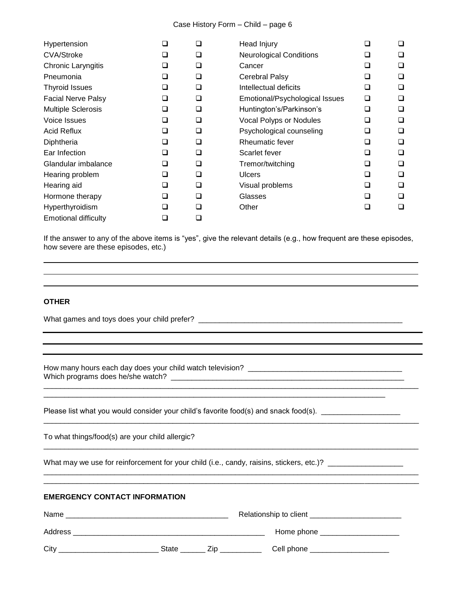#### Case History Form – Child – page 6

| Hypertension                | ⊔ | ❏ | Head Injury                    |                          | ❏      |
|-----------------------------|---|---|--------------------------------|--------------------------|--------|
| <b>CVA/Stroke</b>           | ⊔ | ❏ | <b>Neurological Conditions</b> | ⊔                        | ப      |
| Chronic Laryngitis          | ⊔ | ❏ | Cancer                         | $\overline{\phantom{0}}$ |        |
| Pneumonia                   | ❏ | ❏ | Cerebral Palsy                 | ◻                        | ⊔      |
| <b>Thyroid Issues</b>       | ◻ | ❏ | Intellectual deficits          | ◻                        | ⊔      |
| <b>Facial Nerve Palsy</b>   | ◻ | ❏ | Emotional/Psychological Issues | ◻                        | $\Box$ |
| <b>Multiple Sclerosis</b>   | ❏ | ❏ | Huntington's/Parkinson's       | ◻                        | ⊔      |
| Voice Issues                | ❏ | ❏ | Vocal Polyps or Nodules        | ◻                        | ⊔      |
| <b>Acid Reflux</b>          | ❏ | ❏ | Psychological counseling       | ❏                        | ⊔      |
| Diphtheria                  | ◻ | ❏ | Rheumatic fever                | ◻                        | ⊔      |
| Ear Infection               | ◻ | □ | Scarlet fever                  | ◻                        |        |
| Glandular imbalance         | ❏ | ❏ | Tremor/twitching               | ❏                        | ⊔      |
| Hearing problem             | ❏ | ❏ | <b>Ulcers</b>                  | ◻                        | ⊔      |
| Hearing aid                 | ❏ | ❏ | Visual problems                | ◻                        | ⊔      |
| Hormone therapy             | ❏ | ◻ | Glasses                        | ◻                        | Ш      |
| Hyperthyroidism             | ◻ | ◻ | Other                          | $\sqcup$                 | ⊔      |
| <b>Emotional difficulty</b> | ⊐ | ❏ |                                |                          |        |

If the answer to any of the above items is "yes", give the relevant details (e.g., how frequent are these episodes, how severe are these episodes, etc.)

\_\_\_\_\_\_\_\_\_\_\_\_\_\_\_\_\_\_\_\_\_\_\_\_\_\_\_\_\_\_\_\_\_\_\_\_\_\_\_\_\_\_\_\_\_\_\_\_\_\_\_\_\_\_\_\_\_\_\_\_\_\_\_\_\_\_\_\_\_\_\_\_\_\_\_\_\_\_\_\_\_\_\_\_\_\_\_\_\_\_

\_\_\_\_\_\_\_\_\_\_\_\_\_\_\_\_\_\_\_\_\_\_\_\_\_\_\_\_\_\_\_\_\_\_\_\_\_\_\_\_\_\_\_\_\_\_\_\_\_\_\_\_\_\_\_\_\_\_\_\_\_\_\_\_\_\_\_\_\_\_\_\_\_\_\_\_\_\_\_\_\_\_\_\_\_\_\_\_\_\_

\_\_\_\_\_\_\_\_\_\_\_\_\_\_\_\_\_\_\_\_\_\_\_\_\_\_\_\_\_\_\_\_\_\_\_\_\_\_\_\_\_\_\_\_\_\_\_\_\_\_\_\_\_\_\_\_\_\_\_\_\_\_\_\_\_\_\_\_\_\_\_\_\_\_\_\_\_\_\_\_\_\_\_\_\_\_\_\_\_\_

\_\_\_\_\_\_\_\_\_\_\_\_\_\_\_\_\_\_\_\_\_\_\_\_\_\_\_\_\_\_\_\_\_\_\_\_\_\_\_\_\_\_\_\_\_\_\_\_\_\_\_\_\_\_\_\_\_\_\_\_\_\_\_\_\_\_\_\_\_\_\_\_\_\_\_\_\_\_\_\_\_\_

#### **OTHER**

What games and toys does your child prefer? \_\_\_\_\_\_\_\_\_\_\_\_\_\_\_\_\_\_\_\_\_\_\_\_\_\_\_\_\_\_\_\_\_\_\_\_\_\_\_\_\_\_\_\_\_\_\_\_\_

How many hours each day does your child watch television? \_\_\_\_\_\_\_\_\_\_\_\_\_\_\_\_\_\_\_\_\_\_\_\_\_\_\_\_\_\_\_\_\_\_\_\_\_ Which programs does he/she watch? \_\_\_\_\_\_\_\_\_\_\_\_\_\_\_\_\_\_\_\_\_\_\_\_\_\_\_\_\_\_\_\_\_\_\_\_\_\_\_\_\_\_\_\_\_\_\_\_\_\_\_\_\_\_\_\_

Please list what you would consider your child's favorite food(s) and snack food(s). \_\_\_\_\_\_\_\_\_\_\_\_\_\_\_\_\_\_\_\_\_

To what things/food(s) are your child allergic?

What may we use for reinforcement for your child (i.e., candy, raisins, stickers, etc.)? \_\_\_\_\_\_\_\_\_\_\_\_\_\_\_\_\_\_\_\_\_

#### **EMERGENCY CONTACT INFORMATION**

| Name    |       |     | Relationship to client |
|---------|-------|-----|------------------------|
| Address |       |     | Home phone             |
| City    | State | 'ın | Cell phone             |

\_\_\_\_\_\_\_\_\_\_\_\_\_\_\_\_\_\_\_\_\_\_\_\_\_\_\_\_\_\_\_\_\_\_\_\_\_\_\_\_\_\_\_\_\_\_\_\_\_\_\_\_\_\_\_\_\_\_\_\_\_\_\_\_\_\_\_\_\_\_\_\_\_\_\_\_\_\_\_\_\_\_\_\_\_\_\_\_\_\_ \_\_\_\_\_\_\_\_\_\_\_\_\_\_\_\_\_\_\_\_\_\_\_\_\_\_\_\_\_\_\_\_\_\_\_\_\_\_\_\_\_\_\_\_\_\_\_\_\_\_\_\_\_\_\_\_\_\_\_\_\_\_\_\_\_\_\_\_\_\_\_\_\_\_\_\_\_\_\_\_\_\_\_\_\_\_\_\_\_\_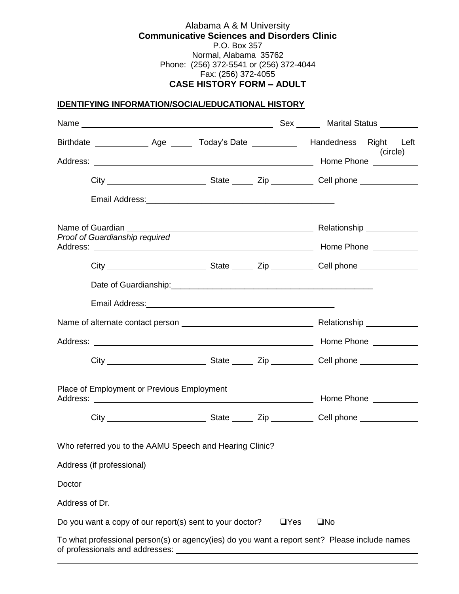#### Alabama A & M University **Communicative Sciences and Disorders Clinic** P.O. Box 357 Normal, Alabama 35762 Phone: (256) 372-5541 or (256) 372-4044 Fax: (256) 372-4055 **CASE HISTORY FORM – ADULT**

#### **IDENTIFYING INFORMATION/SOCIAL/EDUCATIONAL HISTORY**

| Birthdate _________________ Age ________ Today's Date _______________ Handedness Right Left                                                                                                                                          |                            |
|--------------------------------------------------------------------------------------------------------------------------------------------------------------------------------------------------------------------------------------|----------------------------|
|                                                                                                                                                                                                                                      | (circle)                   |
|                                                                                                                                                                                                                                      |                            |
|                                                                                                                                                                                                                                      |                            |
| Name of Guardian<br>Proof of Guardianship required                                                                                                                                                                                   |                            |
|                                                                                                                                                                                                                                      |                            |
|                                                                                                                                                                                                                                      |                            |
|                                                                                                                                                                                                                                      |                            |
|                                                                                                                                                                                                                                      |                            |
|                                                                                                                                                                                                                                      |                            |
|                                                                                                                                                                                                                                      |                            |
| Place of Employment or Previous Employment                                                                                                                                                                                           |                            |
|                                                                                                                                                                                                                                      |                            |
| Who referred you to the AAMU Speech and Hearing Clinic? ________________________                                                                                                                                                     |                            |
|                                                                                                                                                                                                                                      |                            |
| Doctor <b>contract to the contract of the contract of the contract of the contract of the contract of the contract of the contract of the contract of the contract of the contract of the contract of the contract of the contra</b> |                            |
| Do you want a copy of our report(s) sent to your doctor?                                                                                                                                                                             | $\square$ No<br>$\Box$ Yes |
| To what professional person(s) or agency(ies) do you want a report sent? Please include names<br>of professionals and addresses:                                                                                                     |                            |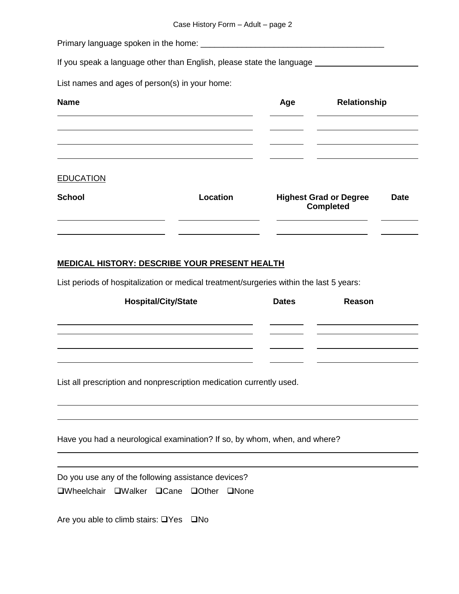Primary language spoken in the home: \_\_\_\_\_\_\_\_\_\_\_\_\_\_\_\_\_\_\_\_\_\_\_\_\_\_\_\_\_\_\_\_\_\_\_\_\_\_\_\_

If you speak a language other than English, please state the language \_\_\_\_\_\_\_\_\_\_\_

List names and ages of person(s) in your home:

| <b>Name</b>      |          | Age | Relationship                                      |             |
|------------------|----------|-----|---------------------------------------------------|-------------|
|                  |          |     |                                                   |             |
|                  |          |     |                                                   |             |
| <b>EDUCATION</b> |          |     |                                                   |             |
| <b>School</b>    | Location |     | <b>Highest Grad or Degree</b><br><b>Completed</b> | <b>Date</b> |
|                  |          |     |                                                   |             |

#### **MEDICAL HISTORY: DESCRIBE YOUR PRESENT HEALTH**

List periods of hospitalization or medical treatment/surgeries within the last 5 years:

| <b>Dates</b>                                                         | Reason |
|----------------------------------------------------------------------|--------|
|                                                                      |        |
|                                                                      |        |
|                                                                      |        |
|                                                                      |        |
|                                                                      |        |
| List all prescription and nonprescription medication currently used. |        |
|                                                                      |        |
|                                                                      |        |

Have you had a neurological examination? If so, by whom, when, and where?

Do you use any of the following assistance devices?

**QWheelchair QWalker QCane QOther QNone** 

Are you able to climb stairs:  $\Box$  Yes  $\Box$  No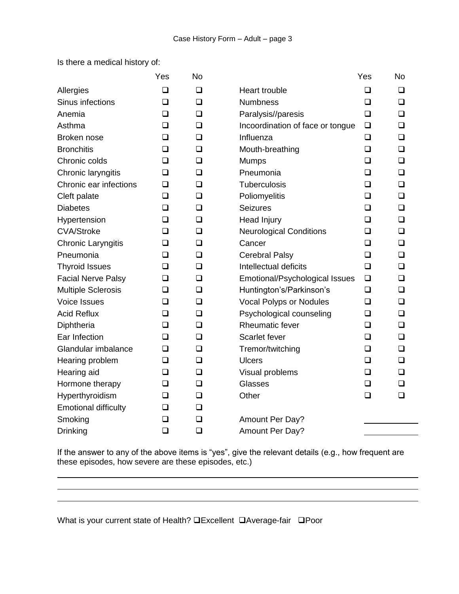Is there a medical history of:

|                             | Yes    | <b>No</b> |                                  | Yes    | <b>No</b> |
|-----------------------------|--------|-----------|----------------------------------|--------|-----------|
| Allergies                   | □      | □         | <b>Heart trouble</b>             | ◻      | □         |
| Sinus infections            | ❏      | ❏         | <b>Numbness</b>                  | ❏      | □         |
| Anemia                      | ❏      | $\Box$    | Paralysis//paresis               | ❏      | □         |
| Asthma                      | □      | <b>□</b>  | Incoordination of face or tongue | $\Box$ | □         |
| Broken nose                 | ❏      | ❏         | Influenza                        | $\Box$ | ❏         |
| <b>Bronchitis</b>           | ❏      | $\Box$    | Mouth-breathing                  | $\Box$ | $\Box$    |
| Chronic colds               | ❏      | ❏         | <b>Mumps</b>                     | ❏      | ❏         |
| Chronic laryngitis          | $\Box$ | $\Box$    | Pneumonia                        | □      | <b>□</b>  |
| Chronic ear infections      | $\Box$ | $\Box$    | Tuberculosis                     | ❏      | □         |
| Cleft palate                | ❏      | ❏         | Poliomyelitis                    | ◻      | □         |
| <b>Diabetes</b>             | □      | ❏         | <b>Seizures</b>                  | ◻      | □         |
| Hypertension                | ❏      | $\Box$    | <b>Head Injury</b>               | ❏      | $\Box$    |
| <b>CVA/Stroke</b>           | ❏      | $\Box$    | <b>Neurological Conditions</b>   | ப      | □         |
| <b>Chronic Laryngitis</b>   | $\Box$ | $\Box$    | Cancer                           | $\Box$ | <b>□</b>  |
| Pneumonia                   | ❏      | $\Box$    | <b>Cerebral Palsy</b>            | $\Box$ | □         |
| <b>Thyroid Issues</b>       | $\Box$ | $\Box$    | Intellectual deficits            | $\Box$ | $\Box$    |
| <b>Facial Nerve Palsy</b>   | ❏      | $\Box$    | Emotional/Psychological Issues   | ❏      | ❏         |
| <b>Multiple Sclerosis</b>   | ❏      | $\Box$    | Huntington's/Parkinson's         | $\Box$ | <b>□</b>  |
| <b>Voice Issues</b>         | ❏      | $\Box$    | <b>Vocal Polyps or Nodules</b>   | ❏      | ❏         |
| <b>Acid Reflux</b>          | ❏      | ❏         | Psychological counseling         | ❏      | □         |
| Diphtheria                  | ❏      | ❏         | <b>Rheumatic fever</b>           | ◻      | $\Box$    |
| Ear Infection               | $\Box$ | ❏         | Scarlet fever                    | $\Box$ | $\Box$    |
| Glandular imbalance         | ❏      | $\Box$    | Tremor/twitching                 | ❏      | □         |
| Hearing problem             | $\Box$ | $\Box$    | <b>Ulcers</b>                    | $\Box$ | <b>□</b>  |
| Hearing aid                 | ❏      | $\Box$    | Visual problems                  | ❏      | □         |
| Hormone therapy             | ⊔      | $\Box$    | Glasses                          | ❏      | ப         |
| Hyperthyroidism             | ❏      | ❏         | Other                            | ◻      | ❏         |
| <b>Emotional difficulty</b> | ❏      | <b>□</b>  |                                  |        |           |
| Smoking                     | $\Box$ | ❏         | Amount Per Day?                  |        |           |
| <b>Drinking</b>             | $\Box$ | $\Box$    | Amount Per Day?                  |        |           |

If the answer to any of the above items is "yes", give the relevant details (e.g., how frequent are these episodes, how severe are these episodes, etc.)

,我们也不会有什么。""我们的人,我们也不会有什么?""我们的人,我们也不会有什么?""我们的人,我们也不会有什么?""我们的人,我们也不会有什么?""我们的人

What is your current state of Health? **QExcellent QAverage-fair QPoor**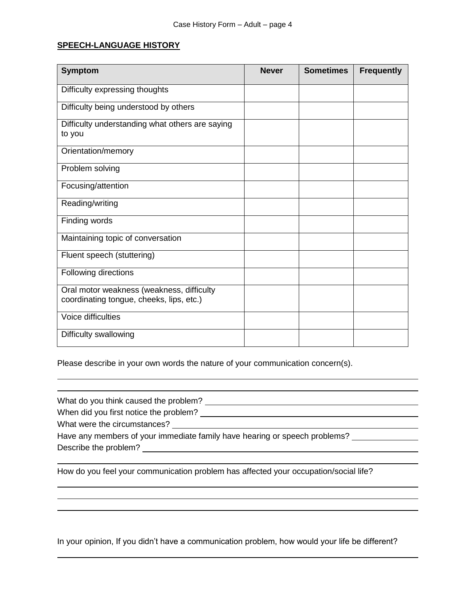#### **SPEECH-LANGUAGE HISTORY**

| <b>Symptom</b>                                                                        | <b>Never</b> | <b>Sometimes</b> | <b>Frequently</b> |
|---------------------------------------------------------------------------------------|--------------|------------------|-------------------|
| Difficulty expressing thoughts                                                        |              |                  |                   |
| Difficulty being understood by others                                                 |              |                  |                   |
| Difficulty understanding what others are saying<br>to you                             |              |                  |                   |
| Orientation/memory                                                                    |              |                  |                   |
| Problem solving                                                                       |              |                  |                   |
| Focusing/attention                                                                    |              |                  |                   |
| Reading/writing                                                                       |              |                  |                   |
| Finding words                                                                         |              |                  |                   |
| Maintaining topic of conversation                                                     |              |                  |                   |
| Fluent speech (stuttering)                                                            |              |                  |                   |
| Following directions                                                                  |              |                  |                   |
| Oral motor weakness (weakness, difficulty<br>coordinating tongue, cheeks, lips, etc.) |              |                  |                   |
| Voice difficulties                                                                    |              |                  |                   |
| Difficulty swallowing                                                                 |              |                  |                   |

Please describe in your own words the nature of your communication concern(s).

What do you think caused the problem? When did you first notice the problem? What were the circumstances? Have any members of your immediate family have hearing or speech problems? Describe the problem? How do you feel your communication problem has affected your occupation/social life?

In your opinion, If you didn't have a communication problem, how would your life be different?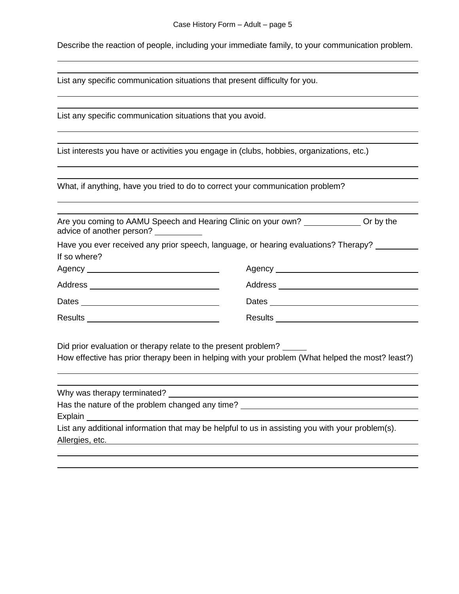Describe the reaction of people, including your immediate family, to your communication problem.

List any specific communication situations that present difficulty for you.

List any specific communication situations that you avoid.

List interests you have or activities you engage in (clubs, hobbies, organizations, etc.)

What, if anything, have you tried to do to correct your communication problem?

| Are you coming to AAMU Speech and Hearing Clinic on your own? _______________ Or by the<br>advice of another person? ___________ |                                                                                     |  |
|----------------------------------------------------------------------------------------------------------------------------------|-------------------------------------------------------------------------------------|--|
|                                                                                                                                  | Have you ever received any prior speech, language, or hearing evaluations? Therapy? |  |
| If so where?                                                                                                                     |                                                                                     |  |
|                                                                                                                                  |                                                                                     |  |
| Address ____________________________                                                                                             |                                                                                     |  |
|                                                                                                                                  |                                                                                     |  |
| <b>Results</b>                                                                                                                   | <b>Results</b>                                                                      |  |

Did prior evaluation or therapy relate to the present problem?

How effective has prior therapy been in helping with your problem (What helped the most? least?)

Why was therapy terminated? \_\_\_\_\_\_\_\_\_\_\_\_

Has the nature of the problem changed any time?

**Explain** 

List any additional information that may be helpful to us in assisting you with your problem(s). Allergies, etc.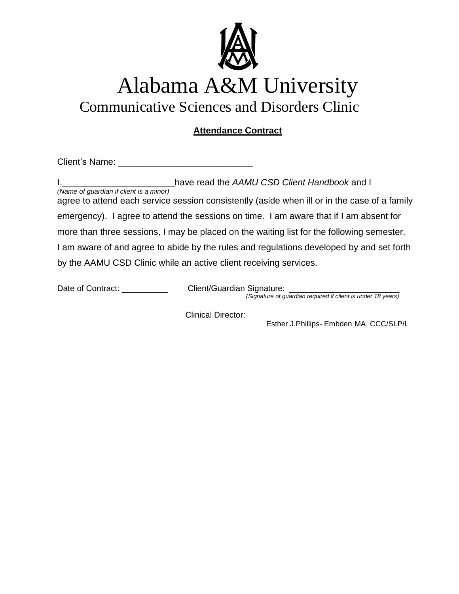

### Communicative Sciences and Disorders Clinic

#### **Attendance Contract**

Client's Name: \_\_\_\_\_\_\_\_\_\_\_\_\_\_\_\_\_\_\_\_\_\_\_\_\_\_\_

|                                                                                                                                         | have read the AAMU CSD Client Handbook and I |
|-----------------------------------------------------------------------------------------------------------------------------------------|----------------------------------------------|
| (Name of guardian if client is a minor)<br>agree to attend each service session consistently (aside when ill or in the case of a family |                                              |
| emergency). I agree to attend the sessions on time. I am aware that if I am absent for                                                  |                                              |
| more than three sessions, I may be placed on the waiting list for the following semester.                                               |                                              |
| I am aware of and agree to abide by the rules and regulations developed by and set forth                                                |                                              |
| by the AAMU CSD Clinic while an active client receiving services.                                                                       |                                              |

Date of Contract: \_\_\_\_\_\_\_\_\_\_\_\_\_\_ Client/Guardian Signature: \_\_\_\_\_\_\_\_\_\_\_\_\_\_\_\_\_\_\_\_

*(Signature of guardian required if client is under 18 years)*

Clinical Director: \_\_

Esther J.Phillips- Embden MA, CCC/SLP/L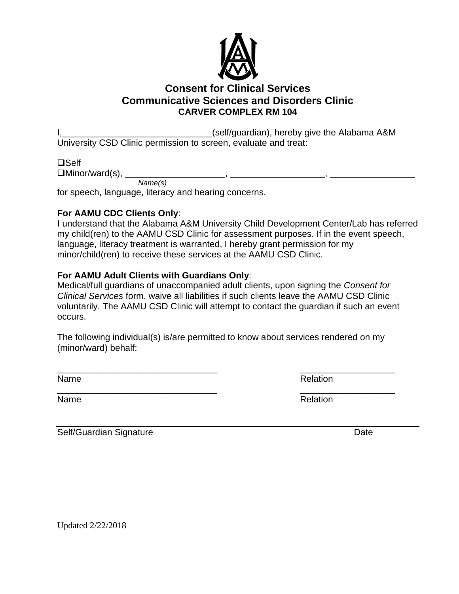

#### **Consent for Clinical Services Communicative Sciences and Disorders Clinic CARVER COMPLEX RM 104**

I, 1, 2008 and the Alabama A&M University CSD Clinic permission to screen, evaluate and treat:

 $\square$ Self

Minor/ward(s), \_\_\_\_\_\_\_\_\_\_\_\_\_\_\_\_\_\_\_\_, \_\_\_\_\_\_\_\_\_\_\_\_\_\_\_\_\_\_\_, \_\_\_\_\_\_\_\_\_\_\_\_\_\_\_\_\_ *Name(s)*

for speech, language, literacy and hearing concerns.

#### **For AAMU CDC Clients Only**:

I understand that the Alabama A&M University Child Development Center/Lab has referred my child(ren) to the AAMU CSD Clinic for assessment purposes. If in the event speech, language, literacy treatment is warranted, I hereby grant permission for my minor/child(ren) to receive these services at the AAMU CSD Clinic.

#### **For AAMU Adult Clients with Guardians Only**:

Medical/full guardians of unaccompanied adult clients, upon signing the *Consent for Clinical Services* form, waive all liabilities if such clients leave the AAMU CSD Clinic voluntarily. The AAMU CSD Clinic will attempt to contact the guardian if such an event occurs.

The following individual(s) is/are permitted to know about services rendered on my (minor/ward) behalf:

\_\_\_\_\_\_\_\_\_\_\_\_\_\_\_\_\_\_\_\_\_\_\_\_\_\_\_\_\_\_\_\_ \_\_\_\_\_\_\_\_\_\_\_\_\_\_\_\_\_\_\_

Name Relation

\_\_\_\_\_\_\_\_\_\_\_\_\_\_\_\_\_\_\_\_\_\_\_\_\_\_\_\_\_\_\_\_ \_\_\_\_\_\_\_\_\_\_\_\_\_\_\_\_\_\_\_ Name Relation

Self/Guardian Signature Date Date

Updated 2/22/2018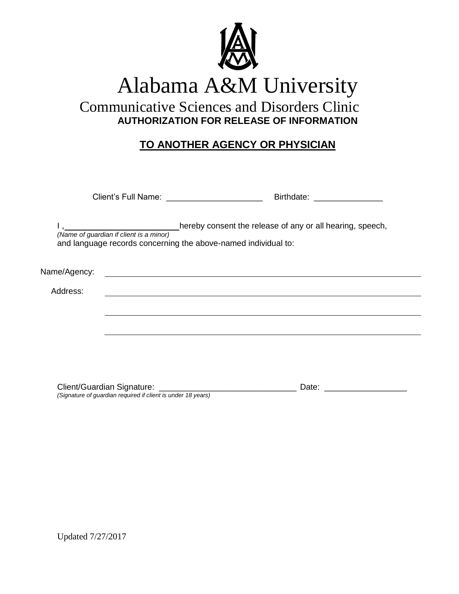

 Communicative Sciences and Disorders Clinic **AUTHORIZATION FOR RELEASE OF INFORMATION**

#### **TO ANOTHER AGENCY OR PHYSICIAN**

|              | Client's Full Name: _______________________                                                               | Birthdate: _________________                              |  |
|--------------|-----------------------------------------------------------------------------------------------------------|-----------------------------------------------------------|--|
|              | (Name of guardian if client is a minor)<br>and language records concerning the above-named individual to: | hereby consent the release of any or all hearing, speech, |  |
| Name/Agency: |                                                                                                           |                                                           |  |
| Address:     |                                                                                                           |                                                           |  |
|              |                                                                                                           |                                                           |  |
|              |                                                                                                           |                                                           |  |
|              |                                                                                                           |                                                           |  |
|              |                                                                                                           |                                                           |  |
|              |                                                                                                           |                                                           |  |

Client/Guardian Signature: \_\_\_\_\_\_\_\_\_\_\_\_\_\_\_\_\_\_\_\_\_\_\_\_\_\_\_\_\_\_ Date: \_\_\_\_\_\_\_\_\_\_\_\_\_\_\_\_\_\_

*(Signature of guardian required if client is under 18 years)*

Updated 7/27/2017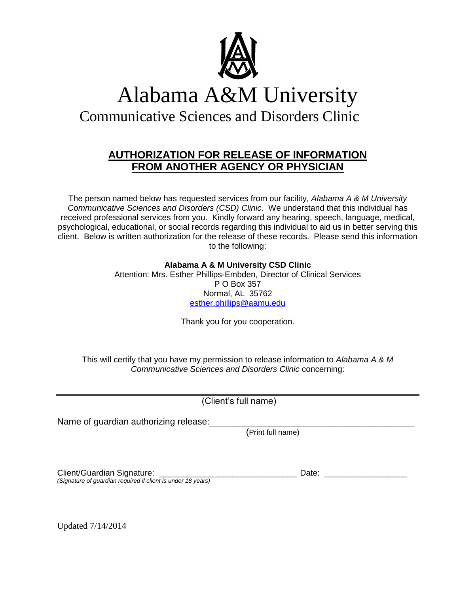

Communicative Sciences and Disorders Clinic

#### **AUTHORIZATION FOR RELEASE OF INFORMATION FROM ANOTHER AGENCY OR PHYSICIAN**

The person named below has requested services from our facility, *Alabama A & M University Communicative Sciences and Disorders (CSD) Clinic*. We understand that this individual has received professional services from you. Kindly forward any hearing, speech, language, medical, psychological, educational, or social records regarding this individual to aid us in better serving this client. Below is written authorization for the release of these records. Please send this information to the following:

#### **Alabama A & M University CSD Clinic**

Attention: Mrs. Esther Phillips-Embden, Director of Clinical Services P O Box 357 Normal, AL 35762 [esther.phillips@aamu.edu](mailto:esther.phillips@aamu.edu)

Thank you for you cooperation.

This will certify that you have my permission to release information to *Alabama A & M Communicative Sciences and Disorders Clinic* concerning:

(Client's full name)

Name of guardian authorizing release:

(Print full name)

Client/Guardian Signature: \_\_\_\_\_\_\_\_\_\_\_\_\_\_\_\_\_\_\_\_\_\_\_\_\_\_\_\_\_\_ Date: \_\_\_\_\_\_\_\_\_\_\_\_\_\_\_\_\_\_ *(Signature of guardian required if client is under 18 years)*

Updated 7/14/2014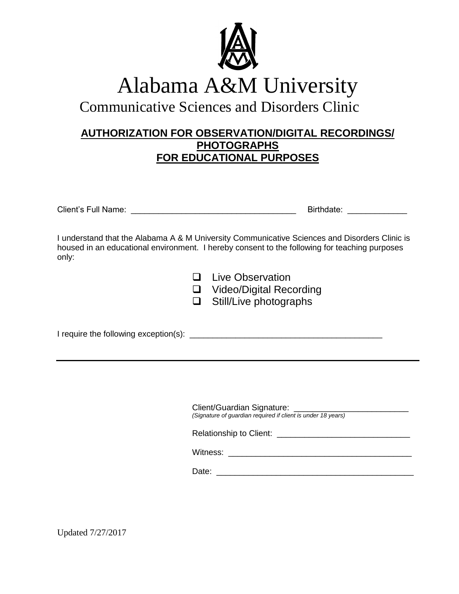

Communicative Sciences and Disorders Clinic

#### **AUTHORIZATION FOR OBSERVATION/DIGITAL RECORDINGS/ PHOTOGRAPHS FOR EDUCATIONAL PURPOSES**

| Client's F<br>∴ull *<br>_<br>∴Name | date: |  |
|------------------------------------|-------|--|
|                                    |       |  |

I understand that the Alabama A & M University Communicative Sciences and Disorders Clinic is housed in an educational environment. I hereby consent to the following for teaching purposes only:

| $\Box$ | <b>Live Observation</b> |  |
|--------|-------------------------|--|
|--------|-------------------------|--|

□ Video/Digital Recording

 $\Box$  Still/Live photographs

I require the following exception(s): \_\_\_\_\_\_\_\_\_\_\_\_\_\_\_\_\_\_\_\_\_\_\_\_\_\_\_\_\_\_\_\_\_\_\_\_\_\_\_\_\_\_

Client/Guardian Signature: \_\_\_\_\_\_\_\_\_\_\_\_\_\_\_\_\_\_\_\_\_\_\_\_\_ *(Signature of guardian required if client is under 18 years)*

Relationship to Client:

Witness: \_\_\_\_\_\_\_\_\_\_\_\_\_\_\_\_\_\_\_\_\_\_\_\_\_\_\_\_\_\_\_\_\_\_\_\_\_\_\_\_

Date:  $\Box$ 

Updated 7/27/2017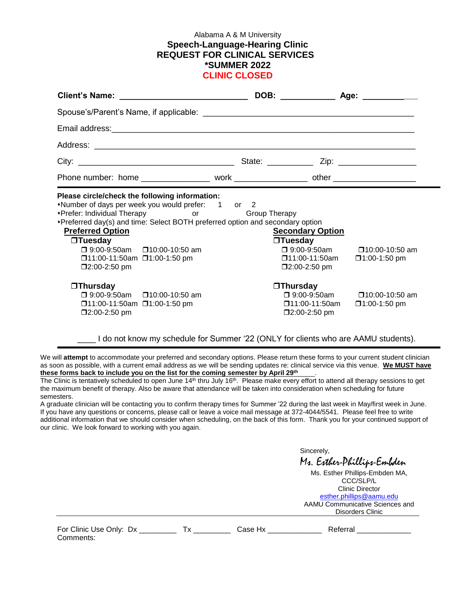#### Alabama A & M University **Speech-Language-Hearing Clinic REQUEST FOR CLINICAL SERVICES \*SUMMER 2022 CLINIC CLOSED**

| Phone number: home ____________________ work __________________ other ______________________________                                                                                                                                                                                                                                                                                                                                                                                                                |                                                                                                                  |                                                                                                                                                                              |
|---------------------------------------------------------------------------------------------------------------------------------------------------------------------------------------------------------------------------------------------------------------------------------------------------------------------------------------------------------------------------------------------------------------------------------------------------------------------------------------------------------------------|------------------------------------------------------------------------------------------------------------------|------------------------------------------------------------------------------------------------------------------------------------------------------------------------------|
| Please circle/check the following information:<br>*Number of days per week you would prefer: 1 or 2<br>• Prefer: Individual Therapy or Group Therapy<br>*Preferred day(s) and time: Select BOTH preferred option and secondary option<br><b>Preferred Option</b><br>$\Box$ Tuesday<br>$\Box$ 9:00-9:50am $\Box$ 10:00-10:50 am<br>□11:00-11:50am □1:00-1:50 pm<br>$\square$ 2:00-2:50 pm<br>$\Box$ Thursday<br>□ 9:00-9:50am □ 10:00-10:50 am<br>$\Box$ 11:00-11:50am $\Box$ 1:00-1:50 pm<br>$\square$ 2:00-2:50 pm | <b>Secondary Option</b><br>$\Box$ Tuesday<br>$\square$ 2:00-2:50 pm<br>$\Box$ Thursday<br>$\square$ 2:00-2:50 pm | $\Box$ 9:00-9:50am $\Box$ 10:00-10:50 am<br>$\Box$ 11:00-11:50am $\Box$ 1:00-1:50 pm<br>$\Box$ 9:00-9:50am $\Box$ 10:00-10:50 am<br>$\Box$ 11:00-11:50am $\Box$ 1:00-1:50 pm |

I do not know my schedule for Summer '22 (ONLY for clients who are AAMU students).

We will **attempt** to accommodate your preferred and secondary options. Please return these forms to your current student clinician as soon as possible, with a current email address as we will be sending updates re: clinical service via this venue. **We MUST have these forms back to include you on the list for the coming semester by April 29th** .

The Clinic is tentatively scheduled to open June 14<sup>th</sup> thru July 16<sup>th</sup>. Please make every effort to attend all therapy sessions to get the maximum benefit of therapy. Also be aware that attendance will be taken into consideration when scheduling for future semesters.

A graduate clinician will be contacting you to confirm therapy times for Summer '22 during the last week in May/first week in June. If you have any questions or concerns, please call or leave a voice mail message at 372-4044/5541. Please feel free to write additional information that we should consider when scheduling, on the back of this form. Thank you for your continued support of our clinic. We look forward to working with you again.

Sincerely, Ms. Esther-Phillips-Embden

Ms. Esther Phillips-Embden MA, CCC/SLP/L Clinic Director [esther.phillips@aamu.edu](mailto:esther.phillips@aamu.edu) AAMU Communicative Sciences and Disorders Clinic

| For Clinic Use Only: Dx |  |
|-------------------------|--|
| Comments:               |  |

Tx \_\_\_\_\_\_\_\_\_\_\_ Case Hx \_\_\_\_\_\_\_\_\_\_\_\_\_\_\_\_\_\_\_ Referral \_\_\_\_\_\_\_\_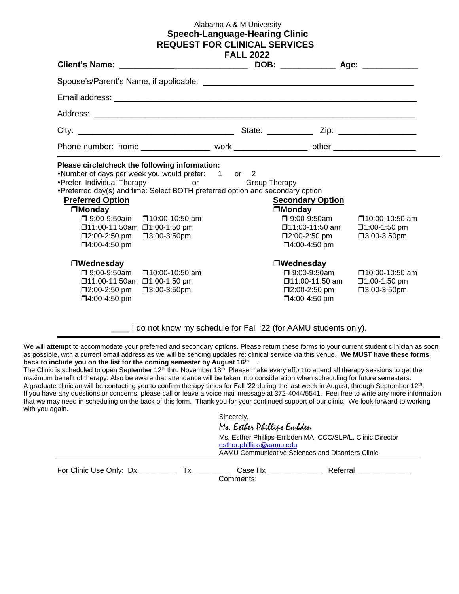#### Alabama A & M University **Speech-Language-Hearing Clinic REQUEST FOR CLINICAL SERVICES**

|                                                                                                                                                                                                                                                                                                                                                                                                                            | <b>FALL 2022</b> |                                                                                                                                             |                                                                    |
|----------------------------------------------------------------------------------------------------------------------------------------------------------------------------------------------------------------------------------------------------------------------------------------------------------------------------------------------------------------------------------------------------------------------------|------------------|---------------------------------------------------------------------------------------------------------------------------------------------|--------------------------------------------------------------------|
|                                                                                                                                                                                                                                                                                                                                                                                                                            |                  |                                                                                                                                             |                                                                    |
|                                                                                                                                                                                                                                                                                                                                                                                                                            |                  |                                                                                                                                             |                                                                    |
|                                                                                                                                                                                                                                                                                                                                                                                                                            |                  |                                                                                                                                             |                                                                    |
|                                                                                                                                                                                                                                                                                                                                                                                                                            |                  |                                                                                                                                             |                                                                    |
| Phone number: home ____________________ work ____________________ other ____________________________                                                                                                                                                                                                                                                                                                                       |                  |                                                                                                                                             |                                                                    |
| Please circle/check the following information:<br>*Number of days per week you would prefer: 1 or 2<br>•Prefer: Individual Therapy or Group Therapy<br>*Preferred day(s) and time: Select BOTH preferred option and secondary option<br><b>Preferred Option</b><br>$\square$ Monday<br>$\Box$ 9:00-9:50am $\Box$ 10:00-10:50 am<br>□11:00-11:50am □1:00-1:50 pm<br>□3:00-3:50pm<br>$\square$ 2:00-2:50 pm<br>□4:00-4:50 pm |                  | <b>Secondary Option</b><br>$\square$ Monday<br>$\square$ 9:00-9:50am<br>□11:00-11:50 am<br>$\square$ 2:00-2:50 pm<br>$\square$ 4:00-4:50 pm | $\square$ 10:00-10:50 am<br>$\square$ 1:00-1:50 pm<br>□3:00-3:50pm |
| $\Box$ Wednesday<br>$\square$ 9:00-9:50am<br>$\square$ 10:00-10:50 am<br>□11:00-11:50am □1:00-1:50 pm<br>$\square$ 2:00-2:50 pm<br>$\square$ 3:00-3:50pm<br>□4:00-4:50 pm                                                                                                                                                                                                                                                  |                  | $\Box$ Wednesday<br>$\square$ 9:00-9:50am<br>□11:00-11:50 am<br>$\square$ 2:00-2:50 pm<br>$\square$ 4:00-4:50 pm                            | $\square$ 10:00-10:50 am<br>$\square$ 1:00-1:50 pm<br>□3:00-3:50pm |

I do not know my schedule for Fall '22 (for AAMU students only).

We will attempt to accommodate your preferred and secondary options. Please return these forms to your current student clinician as soon as possible, with a current email address as we will be sending updates re: clinical service via this venue. **We MUST have these forms**  back to include you on the list for the coming semester by August 16<sup>th</sup>.

The Clinic is scheduled to open September  $12<sup>th</sup>$  thru November  $18<sup>th</sup>$ . Please make every effort to attend all therapy sessions to get the maximum benefit of therapy. Also be aware that attendance will be taken into consideration when scheduling for future semesters. A graduate clinician will be contacting you to confirm therapy times for Fall '22 during the last week in August, through September 12<sup>th</sup>. If you have any questions or concerns, please call or leave a voice mail message at 372-4044/5541. Feel free to write any more information that we may need in scheduling on the back of this form. Thank you for your continued support of our clinic. We look forward to working with you again.

|                               | Sincerely,                                                                                                                                |  |
|-------------------------------|-------------------------------------------------------------------------------------------------------------------------------------------|--|
|                               | Mr. Exther-Phillips-Embden                                                                                                                |  |
|                               | Ms. Esther Phillips-Embden MA, CCC/SLP/L, Clinic Director<br>esther.phillips@aamu.edu<br>AAMU Communicative Sciences and Disorders Clinic |  |
| For Clinic Use Only: Dx<br>Τx | Referral<br>Case Hx<br>Comments:                                                                                                          |  |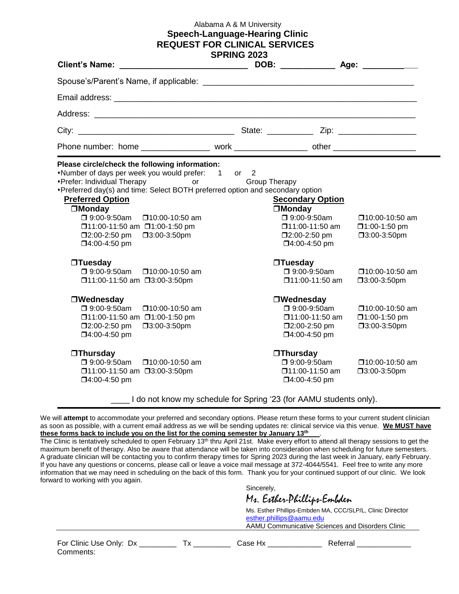#### Alabama A & M University **Speech-Language-Hearing Clinic REQUEST FOR CLINICAL SERVICES**

| <b>Client's Name:</b>                                                                                                                                                                                                                                                                                                                                                                                                                                                                                                                                                                                                                                                                                                         | <b>SPRING 2023</b> |                                                                                                                                                                                                                                                                                                                               |                                                                                                                                                                              |
|-------------------------------------------------------------------------------------------------------------------------------------------------------------------------------------------------------------------------------------------------------------------------------------------------------------------------------------------------------------------------------------------------------------------------------------------------------------------------------------------------------------------------------------------------------------------------------------------------------------------------------------------------------------------------------------------------------------------------------|--------------------|-------------------------------------------------------------------------------------------------------------------------------------------------------------------------------------------------------------------------------------------------------------------------------------------------------------------------------|------------------------------------------------------------------------------------------------------------------------------------------------------------------------------|
|                                                                                                                                                                                                                                                                                                                                                                                                                                                                                                                                                                                                                                                                                                                               |                    |                                                                                                                                                                                                                                                                                                                               |                                                                                                                                                                              |
|                                                                                                                                                                                                                                                                                                                                                                                                                                                                                                                                                                                                                                                                                                                               |                    |                                                                                                                                                                                                                                                                                                                               |                                                                                                                                                                              |
|                                                                                                                                                                                                                                                                                                                                                                                                                                                                                                                                                                                                                                                                                                                               |                    |                                                                                                                                                                                                                                                                                                                               |                                                                                                                                                                              |
|                                                                                                                                                                                                                                                                                                                                                                                                                                                                                                                                                                                                                                                                                                                               |                    |                                                                                                                                                                                                                                                                                                                               |                                                                                                                                                                              |
|                                                                                                                                                                                                                                                                                                                                                                                                                                                                                                                                                                                                                                                                                                                               |                    |                                                                                                                                                                                                                                                                                                                               |                                                                                                                                                                              |
| Please circle/check the following information:<br>*Number of days per week you would prefer: 1 or 2<br>*Prefer: Individual Therapy or<br>*Preferred day(s) and time: Select BOTH preferred option and secondary option<br><b>Preferred Option</b><br><b>OMonday</b><br>□ 9:00-9:50am<br>□10:00-10:50 am<br>□11:00-11:50 am □1:00-1:50 pm<br>$\square$ 2:00-2:50 pm<br>$\square$ 3:00-3:50pm<br>□4:00-4:50 pm<br>$\Box$ Tuesday<br>□ 9:00-9:50am<br>$\square$ 10:00-10:50 am<br>□11:00-11:50 am □3:00-3:50pm<br>□Wednesday<br>$\Box$ 9:00-9:50am<br>□10:00-10:50 am<br>□11:00-11:50 am □1:00-1:50 pm<br>□2:00-2:50 pm<br>□3:00-3:50pm<br>□4:00-4:50 pm<br>$\Box$ Thursday<br>$\square$ 9:00-9:50am<br>$\square$ 10:00-10:50 am | Group Therapy      | <b>Secondary Option</b><br><b>OMonday</b><br>□ 9:00-9:50am<br>□11:00-11:50 am<br>$\square$ 2:00-2:50 pm<br>□4:00-4:50 pm<br>$\Box$ Tuesday<br>□ 9:00-9:50am<br>$\square$ 11:00-11:50 am<br>□Wednesday<br>□ 9:00-9:50am<br>□11:00-11:50 am<br>□2:00-2:50 pm<br>$\square$ 4:00-4:50 pm<br><b>Thursday</b><br>$\Box$ 9:00-9:50am | $\square$ 10:00-10:50 am<br>$\square$ 1:00-1:50 pm<br>□3:00-3:50pm<br>□10:00-10:50 am<br>□3:00-3:50pm<br>□10:00-10:50 am<br>□1:00-1:50 pm<br>□3:00-3:50pm<br>□10:00-10:50 am |
| □11:00-11:50 am □3:00-3:50pm<br>□4:00-4:50 pm                                                                                                                                                                                                                                                                                                                                                                                                                                                                                                                                                                                                                                                                                 |                    | $\square$ 11:00-11:50 am<br>□4:00-4:50 pm                                                                                                                                                                                                                                                                                     | □3:00-3:50pm                                                                                                                                                                 |
| Let I do not know my schedule for Spring '23 (for AAMU students only).                                                                                                                                                                                                                                                                                                                                                                                                                                                                                                                                                                                                                                                        |                    |                                                                                                                                                                                                                                                                                                                               |                                                                                                                                                                              |

We will **attempt** to accommodate your preferred and secondary options. Please return these forms to your current student clinician as soon as possible, with a current email address as we will be sending updates re: clinical service via this venue. **We MUST have these forms back to include you on the list for the coming semester by January 13 th** .

The Clinic is tentatively scheduled to open February 13<sup>th</sup> thru April 21st. Make every effort to attend all therapy sessions to get the maximum benefit of therapy. Also be aware that attendance will be taken into consideration when scheduling for future semesters. A graduate clinician will be contacting you to confirm therapy times for Spring 2023 during the last week in January, early February. If you have any questions or concerns, please call or leave a voice mail message at 372-4044/5541. Feel free to write any more information that we may need in scheduling on the back of this form. Thank you for your continued support of our clinic. We look forward to working with you again.

Sincerely,

Ms. Esther-Phillips-Embden

Ms. Esther Phillips-Embden MA, CCC/SLP/L, Clinic Director [esther.phillips@aamu.edu](mailto:esther.phillips@aamu.edu) AAMU Communicative Sciences and Disorders Clinic

For Clinic Use Only: Dx \_\_\_\_\_\_\_\_\_ Tx \_\_\_\_\_\_\_\_\_ Case Hx \_\_\_\_\_\_\_\_\_\_\_\_\_\_ Referral \_\_\_\_\_\_\_\_\_\_\_\_\_ Comments: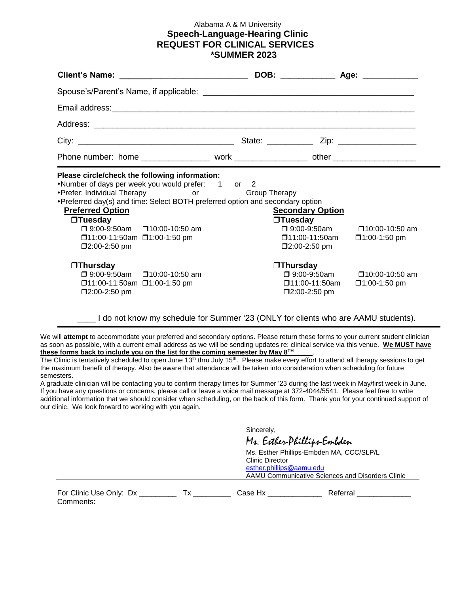#### Alabama A & M University **Speech-Language-Hearing Clinic REQUEST FOR CLINICAL SERVICES \*SUMMER 2023**

| Phone number: home ___________________ work ____________________ other _____________________________                                                                                                                                                                                                                                                                                                                                                                                                                            |                                                                                                                                                                                                          |                                                                                      |
|---------------------------------------------------------------------------------------------------------------------------------------------------------------------------------------------------------------------------------------------------------------------------------------------------------------------------------------------------------------------------------------------------------------------------------------------------------------------------------------------------------------------------------|----------------------------------------------------------------------------------------------------------------------------------------------------------------------------------------------------------|--------------------------------------------------------------------------------------|
| Please circle/check the following information:<br>*Number of days per week you would prefer: 1 or 2<br>• Prefer: Individual Therapy or Group Therapy<br>*Preferred day(s) and time: Select BOTH preferred option and secondary option<br><b>Preferred Option</b><br>$\Box$ Tuesday<br>$\Box$ 9:00-9:50am $\Box$ 10:00-10:50 am<br>$\Box$ 11:00-11:50am $\Box$ 1:00-1:50 pm<br>$\square$ 2:00-2:50 pm<br>$\Box$ Thursday<br>□ 9:00-9:50am □ 10:00-10:50 am<br>$\Box$ 11:00-11:50am $\Box$ 1:00-1:50 pm<br>$\square$ 2:00-2:50 pm | <b>Secondary Option</b><br>$\Box$ Tuesday<br>$\Box$ 11:00-11:50am $\Box$ 1:00-1:50 pm<br>$\square$ 2:00-2:50 pm<br>$\Box$ Thursday<br>$\Box$ 11:00-11:50am $\Box$ 1:00-1:50 pm<br>$\square$ 2:00-2:50 pm | $\Box$ 9:00-9:50am $\Box$ 10:00-10:50 am<br>$\Box$ 9:00-9:50am $\Box$ 10:00-10:50 am |

#### \_\_\_\_ I do not know my schedule for Summer '23 (ONLY for clients who are AAMU students).

We will **attempt** to accommodate your preferred and secondary options. Please return these forms to your current student clinician as soon as possible, with a current email address as we will be sending updates re: clinical service via this venue. **We MUST have these forms back to include you on the list for the coming semester by May 8 TH** .

The Clinic is tentatively scheduled to open June 13<sup>th</sup> thru July 15<sup>th</sup>. Please make every effort to attend all therapy sessions to get the maximum benefit of therapy. Also be aware that attendance will be taken into consideration when scheduling for future semesters.

A graduate clinician will be contacting you to confirm therapy times for Summer '23 during the last week in May/first week in June. If you have any questions or concerns, please call or leave a voice mail message at 372-4044/5541. Please feel free to write additional information that we should consider when scheduling, on the back of this form. Thank you for your continued support of our clinic. We look forward to working with you again.

Sincerely,

Ms. Esther-Phillips-Embden

Ms. Esther Phillips-Embden MA, CCC/SLP/L Clinic Director [esther.phillips@aamu.edu](mailto:esther.phillips@aamu.edu)

AAMU Communicative Sciences and Disorders Clinic

For Clinic Use Only: Dx \_\_\_\_\_\_\_\_\_\_ Tx \_\_\_\_\_\_\_\_\_\_ Case Hx \_\_\_\_\_\_\_\_\_\_\_\_\_\_ Referral \_\_\_\_\_\_\_ Comments: